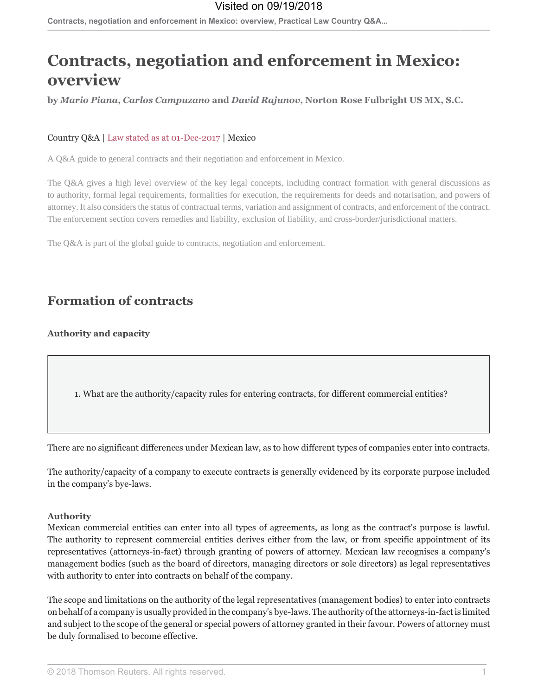# **Contracts, negotiation and enforcement in Mexico:** overview

by Mario Piana, Carlos Campuzano and David Rajunov, Norton Rose Fulbright US MX, S.C.

### Country Q&A | Law stated as at 01-Dec-2017 | Mexico

A Q&A guide to general contracts and their negotiation and enforcement in Mexico.

The Q&A gives a high level overview of the key legal concepts, including contract formation with general discussions as to authority, formal legal requirements, formalities for execution, the requirements for deeds and notarisation, and powers of attorney. It also considers the status of contractual terms, variation and assignment of contracts, and enforcement of the contract. The enforcement section covers remedies and liability, exclusion of liability, and cross-border/jurisdictional matters.

The O&A is part of the global guide to contracts, negotiation and enforcement.

## **Formation of contracts**

**Authority and capacity** 

1. What are the authority/capacity rules for entering contracts, for different commercial entities?

There are no significant differences under Mexican law, as to how different types of companies enter into contracts.

The authority/capacity of a company to execute contracts is generally evidenced by its corporate purpose included in the company's bye-laws.

#### **Authority**

Mexican commercial entities can enter into all types of agreements, as long as the contract's purpose is lawful. The authority to represent commercial entities derives either from the law, or from specific appointment of its representatives (attorneys-in-fact) through granting of powers of attorney. Mexican law recognises a company's management bodies (such as the board of directors, managing directors or sole directors) as legal representatives with authority to enter into contracts on behalf of the company.

The scope and limitations on the authority of the legal representatives (management bodies) to enter into contracts on behalf of a company is usually provided in the company's bye-laws. The authority of the attorneys-in-fact is limited and subject to the scope of the general or special powers of attorney granted in their favour. Powers of attorney must be duly formalised to become effective.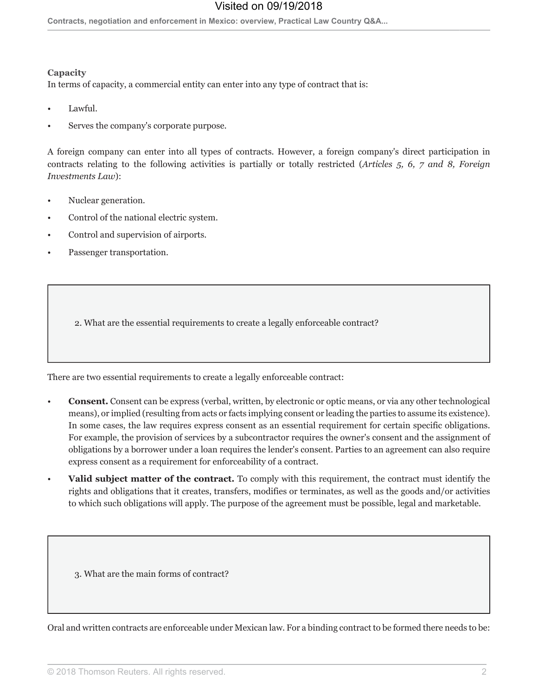Contracts, negotiation and enforcement in Mexico: overview, Practical Law Country Q&A...

#### Capacity

In terms of capacity, a commercial entity can enter into any type of contract that is:

- Lawful.
- Serves the company's corporate purpose.

A foreign company can enter into all types of contracts. However, a foreign company's direct participation in contracts relating to the following activities is partially or totally restricted (Articles 5, 6, 7 and 8, Foreign Investments Law):

- Nuclear generation.
- Control of the national electric system.
- Control and supervision of airports.
- Passenger transportation.

2. What are the essential requirements to create a legally enforceable contract?

There are two essential requirements to create a legally enforceable contract:

- **Consent.** Consent can be express (verbal, written, by electronic or optic means, or via any other technological means), or implied (resulting from acts or facts implying consent or leading the parties to assume its existence). In some cases, the law requires express consent as an essential requirement for certain specific obligations. For example, the provision of services by a subcontractor requires the owner's consent and the assignment of obligations by a borrower under a loan requires the lender's consent. Parties to an agreement can also require express consent as a requirement for enforceability of a contract.
- Valid subject matter of the contract. To comply with this requirement, the contract must identify the rights and obligations that it creates, transfers, modifies or terminates, as well as the goods and/or activities to which such obligations will apply. The purpose of the agreement must be possible, legal and marketable.

3. What are the main forms of contract?

Oral and written contracts are enforceable under Mexican law. For a binding contract to be formed there needs to be: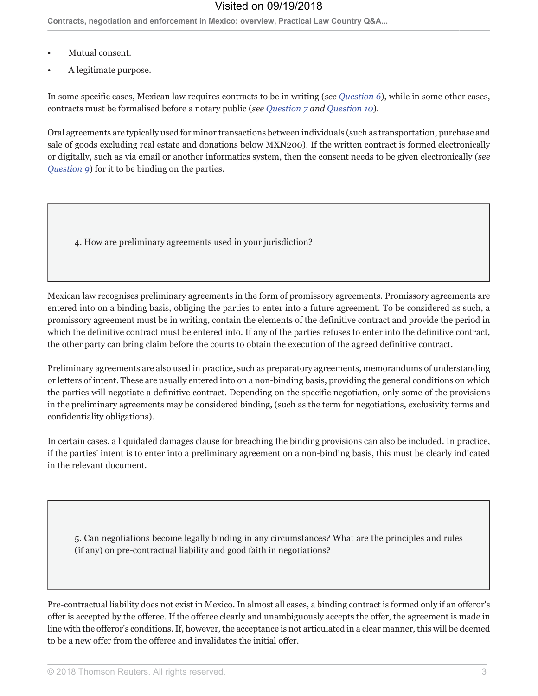- Mutual consent.
- A legitimate purpose.

In some specific cases, Mexican law requires contracts to be in writing (see Question  $6$ ), while in some other cases, contracts must be formalised before a notary public (see Question 7 and Question 10).

Oral agreements are typically used for minor transactions between individuals (such as transportation, purchase and sale of goods excluding real estate and donations below MXN200). If the written contract is formed electronically or digitally, such as via email or another informatics system, then the consent needs to be given electronically (see Question 9) for it to be binding on the parties.

4. How are preliminary agreements used in your jurisdiction?

Mexican law recognises preliminary agreements in the form of promissory agreements. Promissory agreements are entered into on a binding basis, obliging the parties to enter into a future agreement. To be considered as such, a promissory agreement must be in writing, contain the elements of the definitive contract and provide the period in which the definitive contract must be entered into. If any of the parties refuses to enter into the definitive contract, the other party can bring claim before the courts to obtain the execution of the agreed definitive contract.

Preliminary agreements are also used in practice, such as preparatory agreements, memorandums of understanding or letters of intent. These are usually entered into on a non-binding basis, providing the general conditions on which the parties will negotiate a definitive contract. Depending on the specific negotiation, only some of the provisions in the preliminary agreements may be considered binding, (such as the term for negotiations, exclusivity terms and confidentiality obligations).

In certain cases, a liquidated damages clause for breaching the binding provisions can also be included. In practice, if the parties' intent is to enter into a preliminary agreement on a non-binding basis, this must be clearly indicated in the relevant document.

5. Can negotiations become legally binding in any circumstances? What are the principles and rules (if any) on pre-contractual liability and good faith in negotiations?

Pre-contractual liability does not exist in Mexico. In almost all cases, a binding contract is formed only if an offeror's offer is accepted by the offeree. If the offeree clearly and unambiguously accepts the offer, the agreement is made in line with the offeror's conditions. If, however, the acceptance is not articulated in a clear manner, this will be deemed to be a new offer from the offeree and invalidates the initial offer.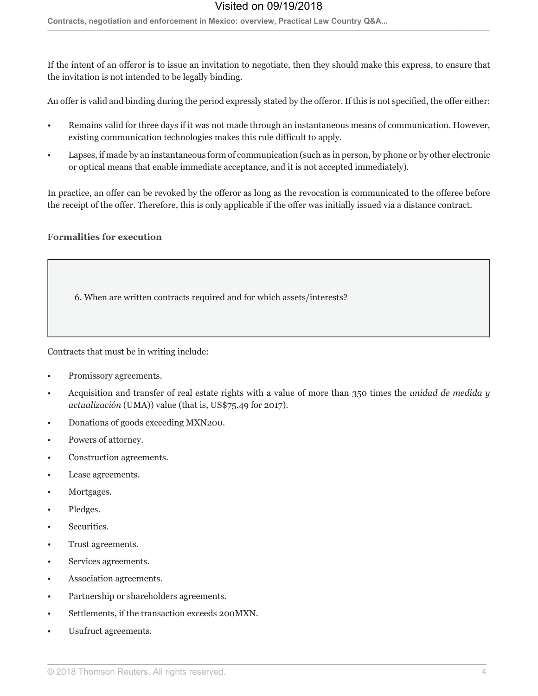Contracts, negotiation and enforcement in Mexico: overview, Practical Law Country Q&A...

If the intent of an offeror is to issue an invitation to negotiate, then they should make this express, to ensure that the invitation is not intended to be legally binding.

An offer is valid and binding during the period expressly stated by the offeror. If this is not specified, the offer either:

- Remains valid for three days if it was not made through an instantaneous means of communication. However, existing communication technologies makes this rule difficult to apply.
- Lapses, if made by an instantaneous form of communication (such as in person, by phone or by other electronic or optical means that enable immediate acceptance, and it is not accepted immediately).

In practice, an offer can be revoked by the offeror as long as the revocation is communicated to the offeree before the receipt of the offer. Therefore, this is only applicable if the offer was initially issued via a distance contract.

### **Formalities for execution**

6. When are written contracts required and for which assets/interests?

Contracts that must be in writing include:

- Promissory agreements.
- Acquisition and transfer of real estate rights with a value of more than 350 times the *unidad de medida y* actualización (UMA)) value (that is, US\$75.49 for 2017).
- Donations of goods exceeding MXN200.
- Powers of attorney.
- Construction agreements.
- Lease agreements.
- Mortgages.
- Pledges.
- Securities.
- Trust agreements.
- Services agreements.
- Association agreements.
- Partnership or shareholders agreements.
- Settlements, if the transaction exceeds 200MXN.
- Usufruct agreements.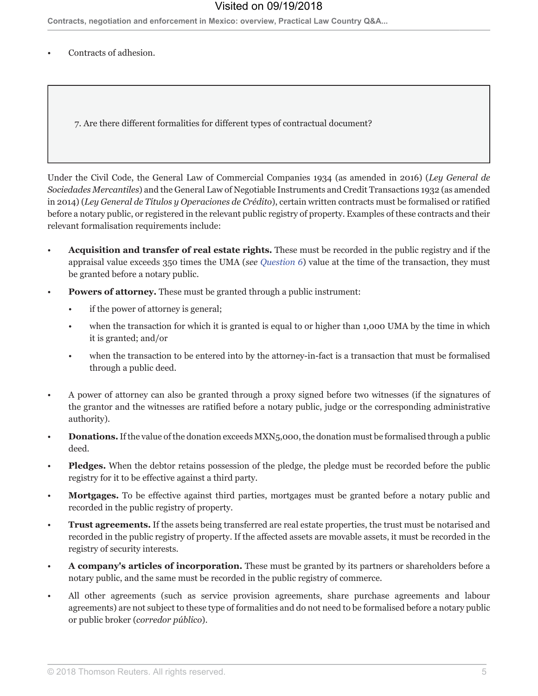Contracts, negotiation and enforcement in Mexico: overview, Practical Law Country Q&A...

Contracts of adhesion.

7. Are there different formalities for different types of contractual document?

Under the Civil Code, the General Law of Commercial Companies 1934 (as amended in 2016) (Ley General de Sociedades Mercantiles) and the General Law of Negotiable Instruments and Credit Transactions 1932 (as amended in 2014) (Ley General de Títulos y Operaciones de Crédito), certain written contracts must be formalised or ratified before a notary public, or registered in the relevant public registry of property. Examples of these contracts and their relevant formalisation requirements include:

- **Acquisition and transfer of real estate rights.** These must be recorded in the public registry and if the appraisal value exceeds 350 times the UMA (see Question 6) value at the time of the transaction, they must be granted before a notary public.
- **Powers of attorney.** These must be granted through a public instrument:
	- if the power of attorney is general;
	- when the transaction for which it is granted is equal to or higher than 1,000 UMA by the time in which it is granted; and/or
	- when the transaction to be entered into by the attorney-in-fact is a transaction that must be formalised through a public deed.
- A power of attorney can also be granted through a proxy signed before two witnesses (if the signatures of  $\bullet$ the grantor and the witnesses are ratified before a notary public, judge or the corresponding administrative authority).
- **Donations.** If the value of the donation exceeds MXN5,000, the donation must be formalised through a public deed.
- **Pledges.** When the debtor retains possession of the pledge, the pledge must be recorded before the public registry for it to be effective against a third party.
- Mortgages. To be effective against third parties, mortgages must be granted before a notary public and recorded in the public registry of property.
- Trust agreements. If the assets being transferred are real estate properties, the trust must be notarised and recorded in the public registry of property. If the affected assets are movable assets, it must be recorded in the registry of security interests.
- A company's articles of incorporation. These must be granted by its partners or shareholders before a notary public, and the same must be recorded in the public registry of commerce.
- All other agreements (such as service provision agreements, share purchase agreements and labour agreements) are not subject to these type of formalities and do not need to be formalised before a notary public or public broker (corredor público).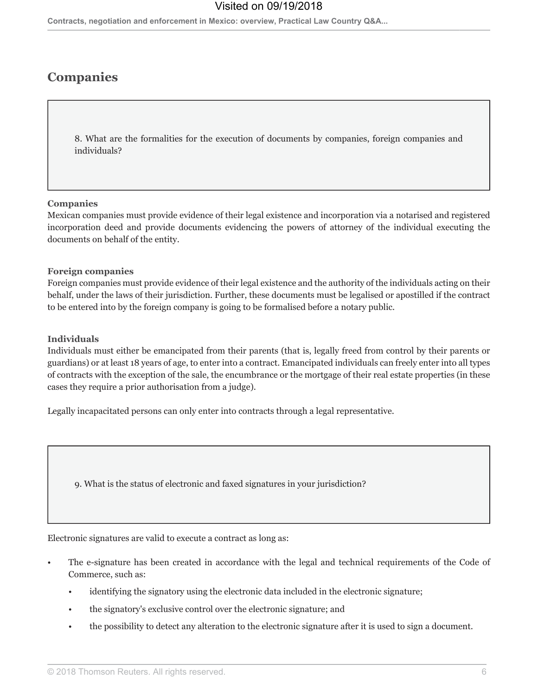Contracts, negotiation and enforcement in Mexico: overview, Practical Law Country Q&A...

## **Companies**

8. What are the formalities for the execution of documents by companies, foreign companies and individuals?

#### **Companies**

Mexican companies must provide evidence of their legal existence and incorporation via a notarised and registered incorporation deed and provide documents evidencing the powers of attorney of the individual executing the documents on behalf of the entity.

#### **Foreign companies**

Foreign companies must provide evidence of their legal existence and the authority of the individuals acting on their behalf, under the laws of their jurisdiction. Further, these documents must be legalised or apostilled if the contract to be entered into by the foreign company is going to be formalised before a notary public.

#### **Individuals**

Individuals must either be emancipated from their parents (that is, legally freed from control by their parents or guardians) or at least 18 years of age, to enter into a contract. Emancipated individuals can freely enter into all types of contracts with the exception of the sale, the encumbrance or the mortgage of their real estate properties (in these cases they require a prior authorisation from a judge).

Legally incapacitated persons can only enter into contracts through a legal representative.

9. What is the status of electronic and faxed signatures in your jurisdiction?

Electronic signatures are valid to execute a contract as long as:

- The e-signature has been created in accordance with the legal and technical requirements of the Code of Commerce, such as:
	- identifying the signatory using the electronic data included in the electronic signature;
	- the signatory's exclusive control over the electronic signature; and
	- the possibility to detect any alteration to the electronic signature after it is used to sign a document.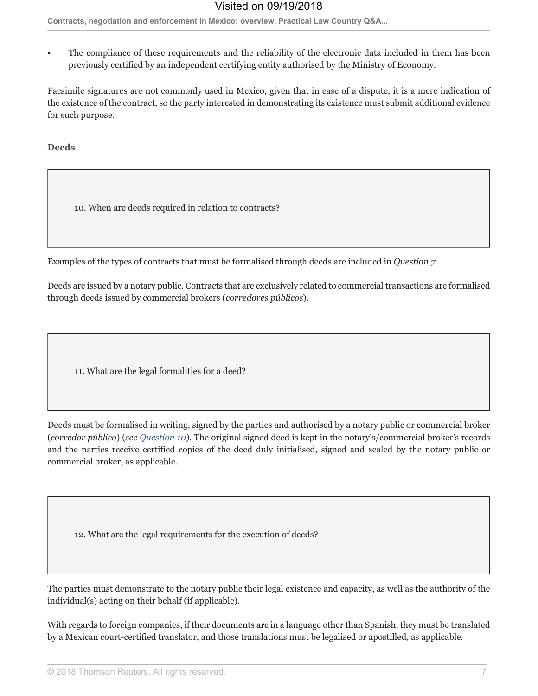The compliance of these requirements and the reliability of the electronic data included in them has been previously certified by an independent certifying entity authorised by the Ministry of Economy.

Facsimile signatures are not commonly used in Mexico, given that in case of a dispute, it is a mere indication of the existence of the contract, so the party interested in demonstrating its existence must submit additional evidence for such purpose.

**Deeds** 

10. When are deeds required in relation to contracts?

Examples of the types of contracts that must be formalised through deeds are included in *Question 7*.

Deeds are issued by a notary public. Contracts that are exclusively related to commercial transactions are formalised through deeds issued by commercial brokers (corredores públicos).

11. What are the legal formalities for a deed?

Deeds must be formalised in writing, signed by the parties and authorised by a notary public or commercial broker (corredor público) (see Question 10). The original signed deed is kept in the notary's/commercial broker's records and the parties receive certified copies of the deed duly initialised, signed and sealed by the notary public or commercial broker, as applicable.

12. What are the legal requirements for the execution of deeds?

The parties must demonstrate to the notary public their legal existence and capacity, as well as the authority of the individual(s) acting on their behalf (if applicable).

With regards to foreign companies, if their documents are in a language other than Spanish, they must be translated by a Mexican court-certified translator, and those translations must be legalised or apostilled, as applicable.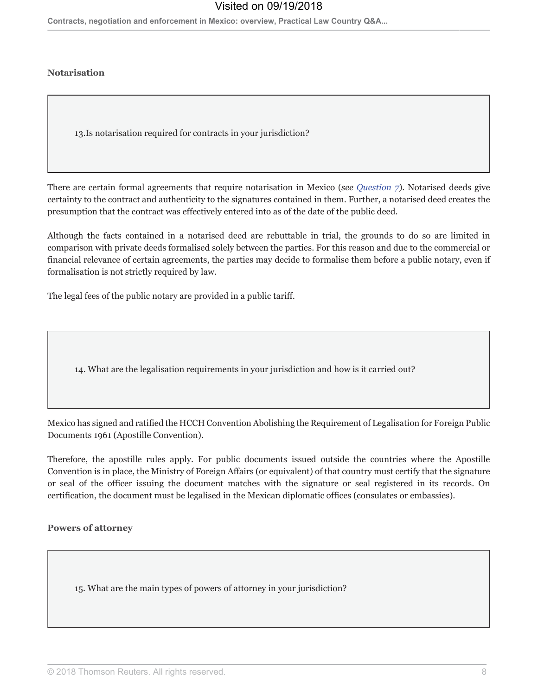Contracts, negotiation and enforcement in Mexico: overview, Practical Law Country Q&A...

### **Notarisation**

13. Is notarisation required for contracts in your jurisdiction?

There are certain formal agreements that require notarisation in Mexico (see Question 7). Notarised deeds give certainty to the contract and authenticity to the signatures contained in them. Further, a notarised deed creates the presumption that the contract was effectively entered into as of the date of the public deed.

Although the facts contained in a notarised deed are rebuttable in trial, the grounds to do so are limited in comparison with private deeds formalised solely between the parties. For this reason and due to the commercial or financial relevance of certain agreements, the parties may decide to formalise them before a public notary, even if formalisation is not strictly required by law.

The legal fees of the public notary are provided in a public tariff.

14. What are the legalisation requirements in your jurisdiction and how is it carried out?

Mexico has signed and ratified the HCCH Convention Abolishing the Requirement of Legalisation for Foreign Public Documents 1961 (Apostille Convention).

Therefore, the apostille rules apply. For public documents issued outside the countries where the Apostille Convention is in place, the Ministry of Foreign Affairs (or equivalent) of that country must certify that the signature or seal of the officer issuing the document matches with the signature or seal registered in its records. On certification, the document must be legalised in the Mexican diplomatic offices (consulates or embassies).

#### **Powers of attorney**

15. What are the main types of powers of attorney in your jurisdiction?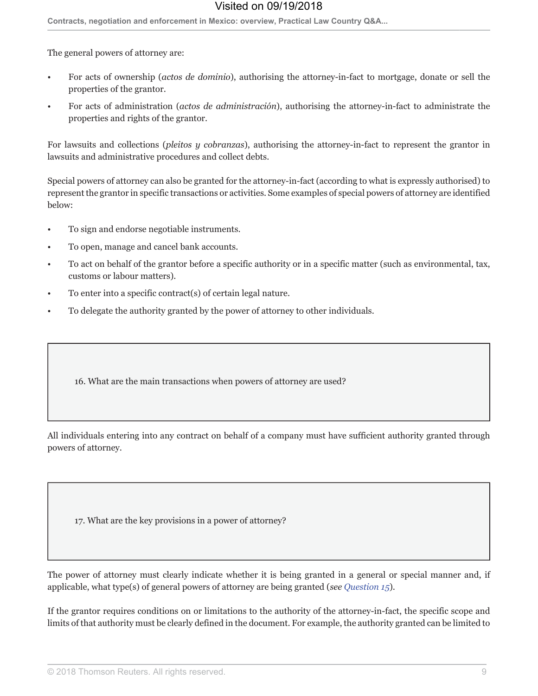Contracts, negotiation and enforcement in Mexico: overview, Practical Law Country Q&A...

The general powers of attorney are:

- For acts of ownership (actos de dominio), authorising the attorney-in-fact to mortgage, donate or sell the properties of the grantor.
- For acts of administration (actos de administración), authorising the attorney-in-fact to administrate the properties and rights of the grantor.

For lawsuits and collections (pleitos y cobranzas), authorising the attorney-in-fact to represent the grantor in lawsuits and administrative procedures and collect debts.

Special powers of attorney can also be granted for the attorney-in-fact (according to what is expressly authorised) to represent the grantor in specific transactions or activities. Some examples of special powers of attorney are identified below:

- To sign and endorse negotiable instruments.
- To open, manage and cancel bank accounts.
- To act on behalf of the grantor before a specific authority or in a specific matter (such as environmental, tax, customs or labour matters).
- To enter into a specific contract(s) of certain legal nature.
- To delegate the authority granted by the power of attorney to other individuals.

16. What are the main transactions when powers of attorney are used?

All individuals entering into any contract on behalf of a company must have sufficient authority granted through powers of attorney.

17. What are the key provisions in a power of attorney?

The power of attorney must clearly indicate whether it is being granted in a general or special manner and, if applicable, what type(s) of general powers of attorney are being granted (see Question 15).

If the grantor requires conditions on or limitations to the authority of the attorney-in-fact, the specific scope and limits of that authority must be clearly defined in the document. For example, the authority granted can be limited to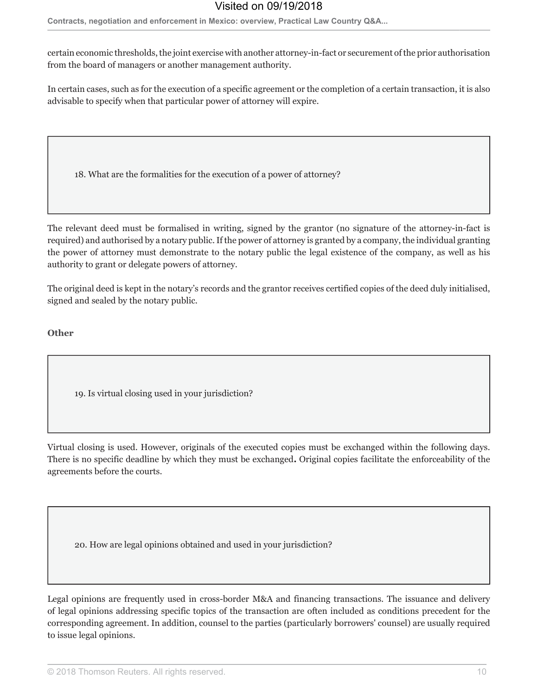Contracts, negotiation and enforcement in Mexico: overview, Practical Law Country Q&A...

certain economic thresholds, the joint exercise with another attorney-in-fact or securement of the prior authorisation from the board of managers or another management authority.

In certain cases, such as for the execution of a specific agreement or the completion of a certain transaction, it is also advisable to specify when that particular power of attorney will expire.

18. What are the formalities for the execution of a power of attorney?

The relevant deed must be formalised in writing, signed by the grantor (no signature of the attorney-in-fact is required) and authorised by a notary public. If the power of attorney is granted by a company, the individual granting the power of attorney must demonstrate to the notary public the legal existence of the company, as well as his authority to grant or delegate powers of attorney.

The original deed is kept in the notary's records and the grantor receives certified copies of the deed duly initialised, signed and sealed by the notary public.

### Other

19. Is virtual closing used in your jurisdiction?

Virtual closing is used. However, originals of the executed copies must be exchanged within the following days. There is no specific deadline by which they must be exchanged. Original copies facilitate the enforceability of the agreements before the courts.

20. How are legal opinions obtained and used in your jurisdiction?

Legal opinions are frequently used in cross-border M&A and financing transactions. The issuance and delivery of legal opinions addressing specific topics of the transaction are often included as conditions precedent for the corresponding agreement. In addition, counsel to the parties (particularly borrowers' counsel) are usually required to issue legal opinions.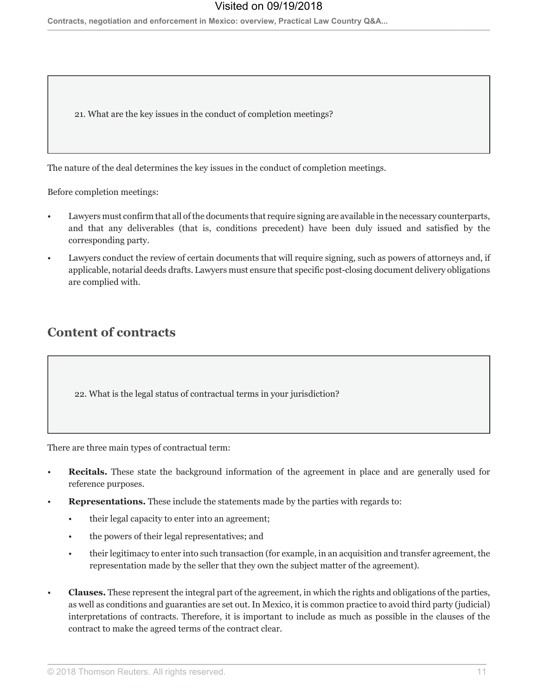Contracts, negotiation and enforcement in Mexico: overview, Practical Law Country Q&A...

21. What are the key issues in the conduct of completion meetings?

The nature of the deal determines the key issues in the conduct of completion meetings.

Before completion meetings:

- Lawyers must confirm that all of the documents that require signing are available in the necessary counterparts, and that any deliverables (that is, conditions precedent) have been duly issued and satisfied by the corresponding party.
- Lawyers conduct the review of certain documents that will require signing, such as powers of attorneys and, if applicable, notarial deeds drafts. Lawyers must ensure that specific post-closing document delivery obligations are complied with.

## **Content of contracts**

22. What is the legal status of contractual terms in your jurisdiction?

There are three main types of contractual term:

- **Recitals.** These state the background information of the agreement in place and are generally used for reference purposes.
- **Representations.** These include the statements made by the parties with regards to:
	- their legal capacity to enter into an agreement;
	- the powers of their legal representatives; and
	- their legitimacy to enter into such transaction (for example, in an acquisition and transfer agreement, the representation made by the seller that they own the subject matter of the agreement).
- **Clauses.** These represent the integral part of the agreement, in which the rights and obligations of the parties, as well as conditions and guaranties are set out. In Mexico, it is common practice to avoid third party (judicial) interpretations of contracts. Therefore, it is important to include as much as possible in the clauses of the contract to make the agreed terms of the contract clear.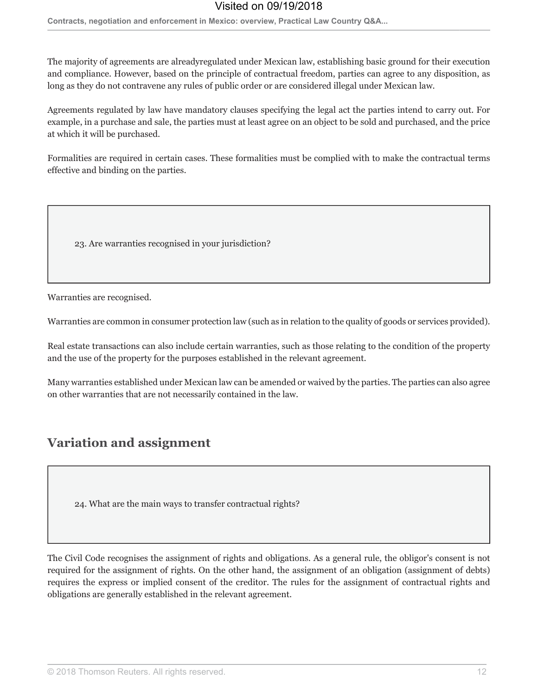Contracts, negotiation and enforcement in Mexico: overview, Practical Law Country Q&A...

The majority of agreements are alreadyregulated under Mexican law, establishing basic ground for their execution and compliance. However, based on the principle of contractual freedom, parties can agree to any disposition, as long as they do not contravene any rules of public order or are considered illegal under Mexican law.

Agreements regulated by law have mandatory clauses specifying the legal act the parties intend to carry out. For example, in a purchase and sale, the parties must at least agree on an object to be sold and purchased, and the price at which it will be purchased.

Formalities are required in certain cases. These formalities must be complied with to make the contractual terms effective and binding on the parties.

23. Are warranties recognised in your jurisdiction?

Warranties are recognised.

Warranties are common in consumer protection law (such as in relation to the quality of goods or services provided).

Real estate transactions can also include certain warranties, such as those relating to the condition of the property and the use of the property for the purposes established in the relevant agreement.

Many warranties established under Mexican law can be amended or waived by the parties. The parties can also agree on other warranties that are not necessarily contained in the law.

## **Variation and assignment**

24. What are the main ways to transfer contractual rights?

The Civil Code recognises the assignment of rights and obligations. As a general rule, the obligor's consent is not required for the assignment of rights. On the other hand, the assignment of an obligation (assignment of debts) requires the express or implied consent of the creditor. The rules for the assignment of contractual rights and obligations are generally established in the relevant agreement.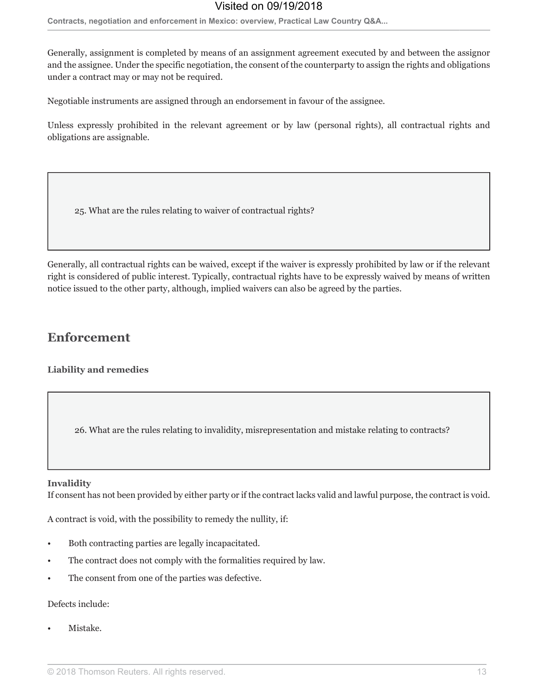Contracts, negotiation and enforcement in Mexico: overview, Practical Law Country Q&A...

Generally, assignment is completed by means of an assignment agreement executed by and between the assignor and the assignee. Under the specific negotiation, the consent of the counterparty to assign the rights and obligations under a contract may or may not be required.

Negotiable instruments are assigned through an endorsement in favour of the assignee.

Unless expressly prohibited in the relevant agreement or by law (personal rights), all contractual rights and obligations are assignable.

25. What are the rules relating to waiver of contractual rights?

Generally, all contractual rights can be waived, except if the waiver is expressly prohibited by law or if the relevant right is considered of public interest. Typically, contractual rights have to be expressly waived by means of written notice issued to the other party, although, implied waivers can also be agreed by the parties.

## **Enforcement**

**Liability and remedies** 

26. What are the rules relating to invalidity, misrepresentation and mistake relating to contracts?

#### **Invalidity**

If consent has not been provided by either party or if the contract lacks valid and lawful purpose, the contract is void.

A contract is void, with the possibility to remedy the nullity, if:

- Both contracting parties are legally incapacitated.
- The contract does not comply with the formalities required by law.
- The consent from one of the parties was defective.

### Defects include:

Mistake.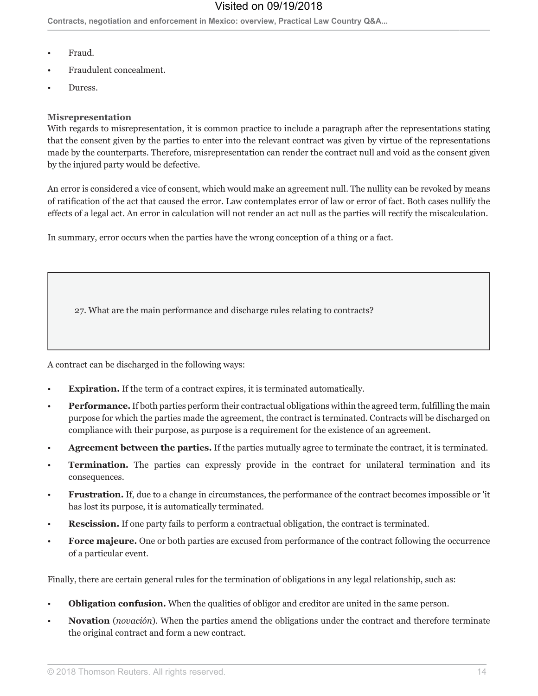Contracts, negotiation and enforcement in Mexico: overview, Practical Law Country Q&A...

- Fraud.
- Fraudulent concealment.
- Duress

#### **Misrepresentation**

With regards to misrepresentation, it is common practice to include a paragraph after the representations stating that the consent given by the parties to enter into the relevant contract was given by virtue of the representations made by the counterparts. Therefore, misrepresentation can render the contract null and void as the consent given by the injured party would be defective.

An error is considered a vice of consent, which would make an agreement null. The nullity can be revoked by means of ratification of the act that caused the error. Law contemplates error of law or error of fact. Both cases nullify the effects of a legal act. An error in calculation will not render an act null as the parties will rectify the miscalculation.

In summary, error occurs when the parties have the wrong conception of a thing or a fact.

27. What are the main performance and discharge rules relating to contracts?

A contract can be discharged in the following ways:

- **Expiration.** If the term of a contract expires, it is terminated automatically.
- Performance. If both parties perform their contractual obligations within the agreed term, fulfilling the main purpose for which the parties made the agreement, the contract is terminated. Contracts will be discharged on compliance with their purpose, as purpose is a requirement for the existence of an agreement.
- **Agreement between the parties.** If the parties mutually agree to terminate the contract, it is terminated.
- **Termination.** The parties can expressly provide in the contract for unilateral termination and its  $\bullet$ consequences.
- **Frustration.** If, due to a change in circumstances, the performance of the contract becomes impossible or 'it has lost its purpose, it is automatically terminated.
- **Rescission.** If one party fails to perform a contractual obligation, the contract is terminated.
- Force majeure. One or both parties are excused from performance of the contract following the occurrence of a particular event.

Finally, there are certain general rules for the termination of obligations in any legal relationship, such as:

- **Obligation confusion.** When the qualities of obligor and creditor are united in the same person.
- **Novation** (*novación*). When the parties amend the obligations under the contract and therefore terminate the original contract and form a new contract.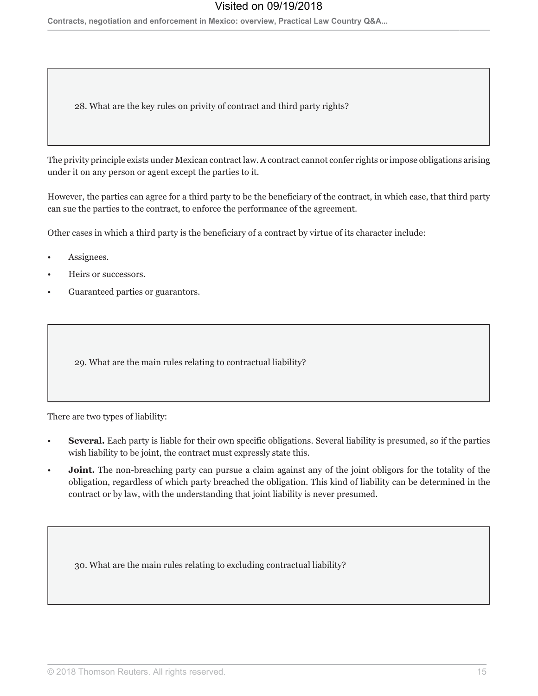Contracts, negotiation and enforcement in Mexico: overview, Practical Law Country Q&A...

28. What are the key rules on privity of contract and third party rights?

The privity principle exists under Mexican contract law. A contract cannot confer rights or impose obligations arising under it on any person or agent except the parties to it.

However, the parties can agree for a third party to be the beneficiary of the contract, in which case, that third party can sue the parties to the contract, to enforce the performance of the agreement.

Other cases in which a third party is the beneficiary of a contract by virtue of its character include:

- Assignees.
- Heirs or successors.
- Guaranteed parties or guarantors.

29. What are the main rules relating to contractual liability?

There are two types of liability:

- **Several.** Each party is liable for their own specific obligations. Several liability is presumed, so if the parties wish liability to be joint, the contract must expressly state this.
- **Joint.** The non-breaching party can pursue a claim against any of the joint obligors for the totality of the obligation, regardless of which party breached the obligation. This kind of liability can be determined in the contract or by law, with the understanding that joint liability is never presumed.

30. What are the main rules relating to excluding contractual liability?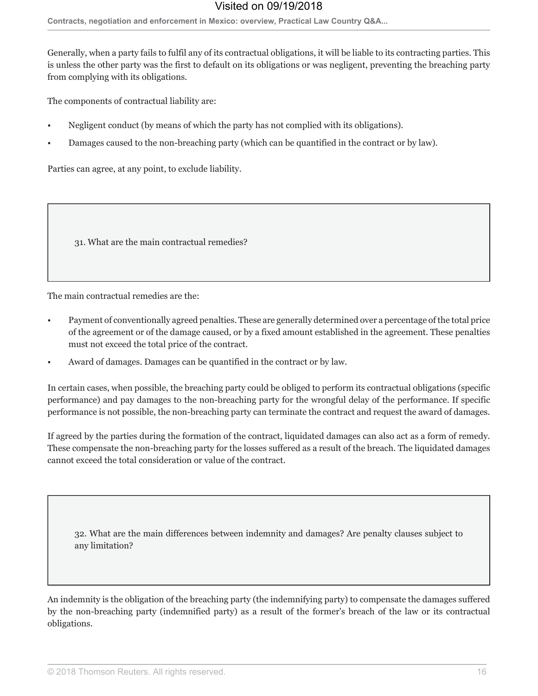Contracts, negotiation and enforcement in Mexico: overview, Practical Law Country Q&A...

Generally, when a party fails to fulfil any of its contractual obligations, it will be liable to its contracting parties. This is unless the other party was the first to default on its obligations or was negligent, preventing the breaching party from complying with its obligations.

The components of contractual liability are:

- Negligent conduct (by means of which the party has not complied with its obligations).
- Damages caused to the non-breaching party (which can be quantified in the contract or by law).

Parties can agree, at any point, to exclude liability.

31. What are the main contractual remedies?

The main contractual remedies are the:

- Payment of conventionally agreed penalties. These are generally determined over a percentage of the total price of the agreement or of the damage caused, or by a fixed amount established in the agreement. These penalties must not exceed the total price of the contract.
- Award of damages. Damages can be quantified in the contract or by law.

In certain cases, when possible, the breaching party could be obliged to perform its contractual obligations (specific performance) and pay damages to the non-breaching party for the wrongful delay of the performance. If specific performance is not possible, the non-breaching party can terminate the contract and request the award of damages.

If agreed by the parties during the formation of the contract, liquidated damages can also act as a form of remedy. These compensate the non-breaching party for the losses suffered as a result of the breach. The liquidated damages cannot exceed the total consideration or value of the contract.

32. What are the main differences between indemnity and damages? Are penalty clauses subject to any limitation?

An indemnity is the obligation of the breaching party (the indemnifying party) to compensate the damages suffered by the non-breaching party (indemnified party) as a result of the former's breach of the law or its contractual obligations.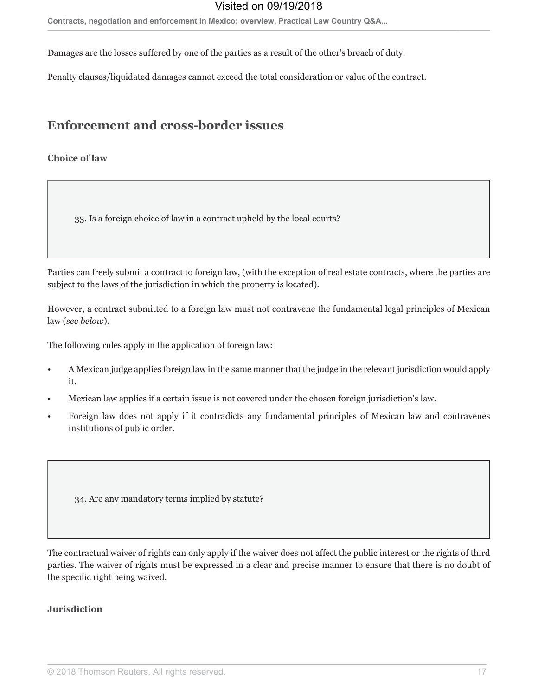Contracts, negotiation and enforcement in Mexico: overview, Practical Law Country Q&A...

Damages are the losses suffered by one of the parties as a result of the other's breach of duty.

Penalty clauses/liquidated damages cannot exceed the total consideration or value of the contract.

## **Enforcement and cross-border issues**

### **Choice of law**

33. Is a foreign choice of law in a contract upheld by the local courts?

Parties can freely submit a contract to foreign law, (with the exception of real estate contracts, where the parties are subject to the laws of the jurisdiction in which the property is located).

However, a contract submitted to a foreign law must not contravene the fundamental legal principles of Mexican law (see below).

The following rules apply in the application of foreign law:

- A Mexican judge applies foreign law in the same manner that the judge in the relevant jurisdiction would apply it.
- Mexican law applies if a certain issue is not covered under the chosen foreign jurisdiction's law.
- Foreign law does not apply if it contradicts any fundamental principles of Mexican law and contravenes institutions of public order.

34. Are any mandatory terms implied by statute?

The contractual waiver of rights can only apply if the waiver does not affect the public interest or the rights of third parties. The waiver of rights must be expressed in a clear and precise manner to ensure that there is no doubt of the specific right being waived.

#### **Jurisdiction**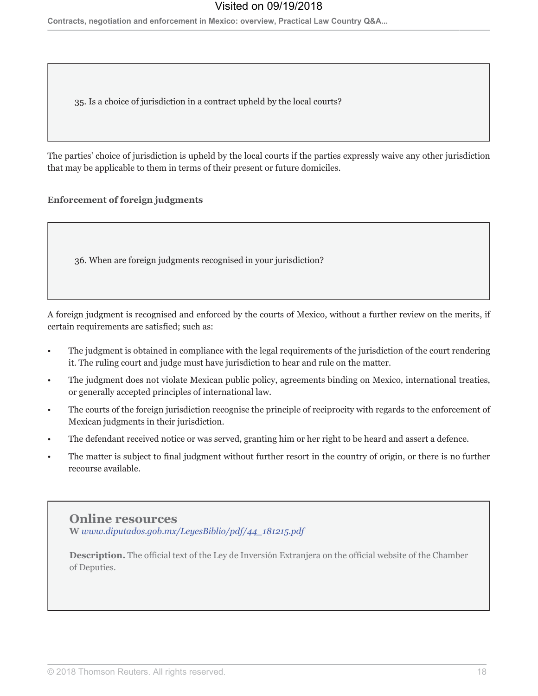35. Is a choice of jurisdiction in a contract upheld by the local courts?

The parties' choice of jurisdiction is upheld by the local courts if the parties expressly waive any other jurisdiction that may be applicable to them in terms of their present or future domiciles.

### **Enforcement of foreign judgments**

36. When are foreign judgments recognised in your jurisdiction?

A foreign judgment is recognised and enforced by the courts of Mexico, without a further review on the merits, if certain requirements are satisfied; such as:

- The judgment is obtained in compliance with the legal requirements of the jurisdiction of the court rendering it. The ruling court and judge must have jurisdiction to hear and rule on the matter.
- The judgment does not violate Mexican public policy, agreements binding on Mexico, international treaties, or generally accepted principles of international law.
- The courts of the foreign jurisdiction recognise the principle of reciprocity with regards to the enforcement of Mexican judgments in their jurisdiction.
- The defendant received notice or was served, granting him or her right to be heard and assert a defence.
- The matter is subject to final judgment without further resort in the country of origin, or there is no further recourse available.

**Online resources** W www.diputados.gob.mx/LeyesBiblio/pdf/44\_181215.pdf

**Description.** The official text of the Ley de Inversión Extranjera on the official website of the Chamber of Deputies.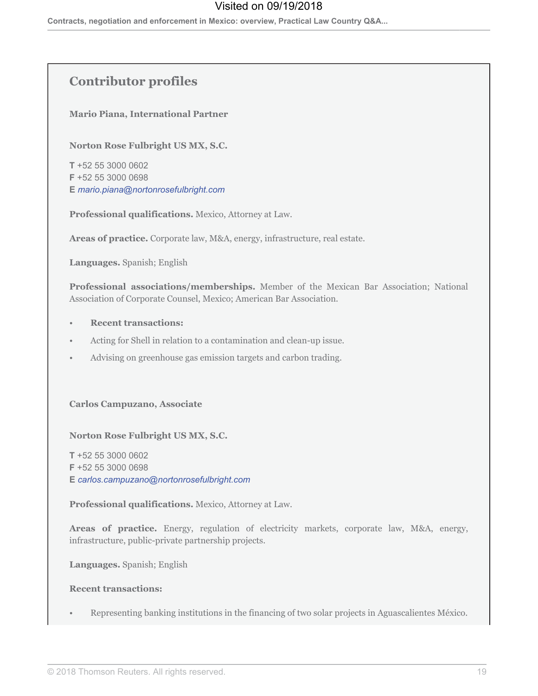## **Contributor profiles**

**Mario Piana, International Partner** 

Norton Rose Fulbright US MX, S.C.

T +52 55 3000 0602 F +52 55 3000 0698 E mario.piana@nortonrosefulbright.com

Professional qualifications. Mexico, Attorney at Law.

Areas of practice. Corporate law, M&A, energy, infrastructure, real estate.

Languages. Spanish; English

Professional associations/memberships. Member of the Mexican Bar Association; National Association of Corporate Counsel, Mexico; American Bar Association.

- **Recent transactions:**
- Acting for Shell in relation to a contamination and clean-up issue.
- Advising on greenhouse gas emission targets and carbon trading.  $\bullet$

**Carlos Campuzano, Associate** 

Norton Rose Fulbright US MX, S.C.

T +52 55 3000 0602 F +52 55 3000 0698 E carlos.campuzano@nortonrosefulbright.com

Professional qualifications. Mexico, Attorney at Law.

Areas of practice. Energy, regulation of electricity markets, corporate law, M&A, energy, infrastructure, public-private partnership projects.

Languages. Spanish; English

#### **Recent transactions:**

Representing banking institutions in the financing of two solar projects in Aguascalientes México.